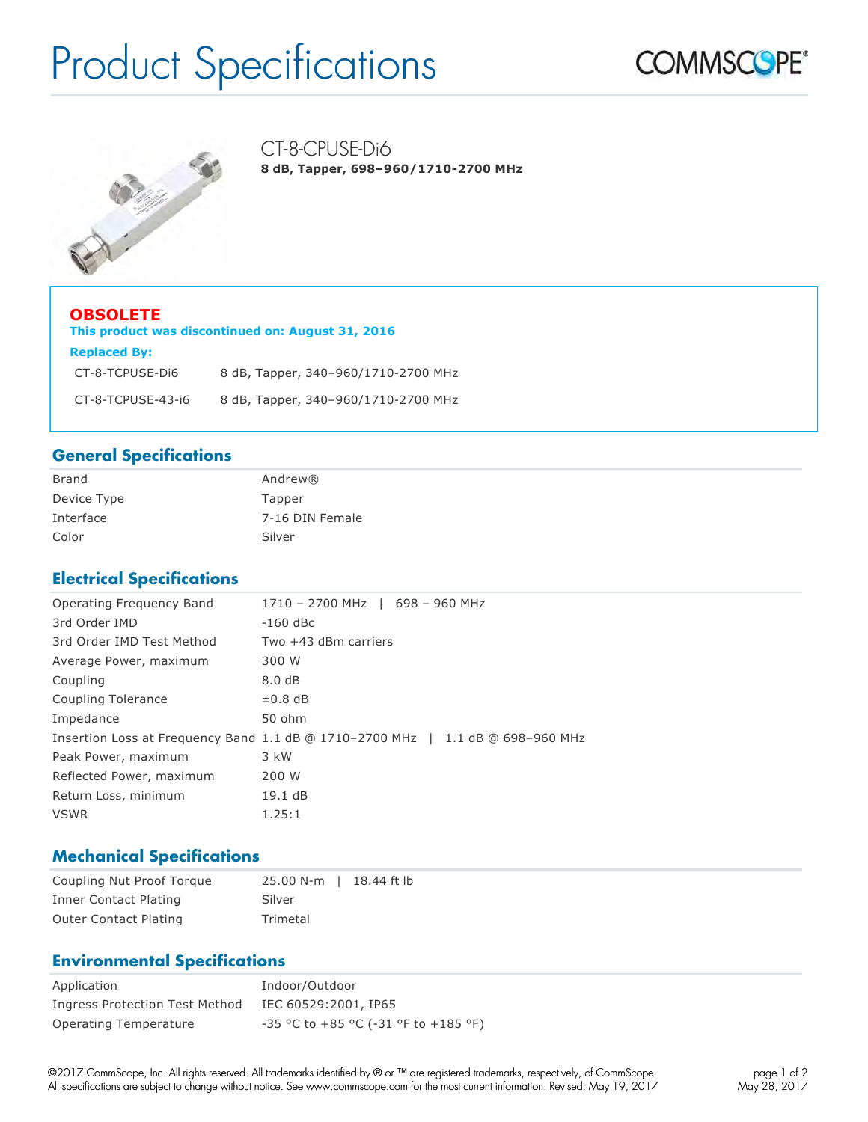# Product Specifications





CT-8-CPUSE-Di6 **8 dB, Tapper, 698–960/1710-2700 MHz**

| <b>OBSOLETE</b><br>This product was discontinued on: August 31, 2016 |                                     |  |  |  |
|----------------------------------------------------------------------|-------------------------------------|--|--|--|
| <b>Replaced By:</b>                                                  |                                     |  |  |  |
| CT-8-TCPUSE-Di6                                                      | 8 dB, Tapper, 340-960/1710-2700 MHz |  |  |  |
| CT-8-TCPUSE-43-i6                                                    | 8 dB, Tapper, 340-960/1710-2700 MHz |  |  |  |

### **General Specifications**

| <b>Brand</b> | Andrew®         |
|--------------|-----------------|
| Device Type  | Tapper          |
| Interface    | 7-16 DIN Female |
| Color        | Silver          |

### **Electrical Specifications**

| Operating Frequency Band  | 1710 - 2700 MHz   698 - 960 MHz                                                |
|---------------------------|--------------------------------------------------------------------------------|
| 3rd Order IMD             | $-160$ dBc                                                                     |
| 3rd Order IMD Test Method | Two $+43$ dBm carriers                                                         |
| Average Power, maximum    | 300 W                                                                          |
| Coupling                  | 8.0 dB                                                                         |
| Coupling Tolerance        | $\pm 0.8$ dB                                                                   |
| Impedance                 | 50 ohm                                                                         |
|                           | Insertion Loss at Frequency Band 1.1 dB @ 1710-2700 MHz   1.1 dB @ 698-960 MHz |
| Peak Power, maximum       | 3 kW                                                                           |
| Reflected Power, maximum  | 200 W                                                                          |
| Return Loss, minimum      | 19.1 dB                                                                        |
| <b>VSWR</b>               | 1.25:1                                                                         |

### **Mechanical Specifications**

| Coupling Nut Proof Torque    | 25.00 N-m   18.44 ft lb |  |
|------------------------------|-------------------------|--|
| Inner Contact Plating        | Silver                  |  |
| <b>Outer Contact Plating</b> | Trimetal                |  |

### **Environmental Specifications**

| Application                    | Indoor/Outdoor                       |
|--------------------------------|--------------------------------------|
| Ingress Protection Test Method | IEC 60529:2001, IP65                 |
| Operating Temperature          | -35 °C to +85 °C (-31 °F to +185 °F) |

©2017 CommScope, Inc. All rights reserved. All trademarks identified by ® or ™ are registered trademarks, respectively, of CommScope. All specifications are subject to change without notice. See www.commscope.com for the most current information. Revised: May 19, 2017